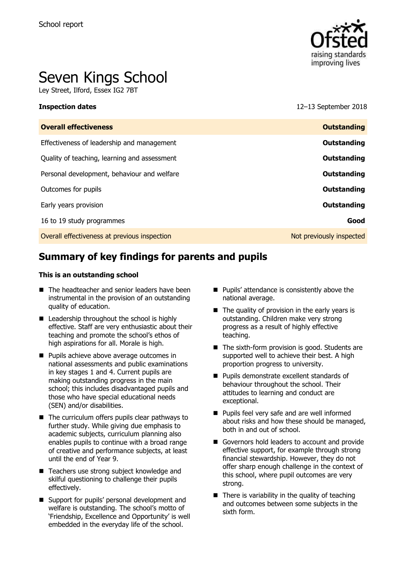

# Seven Kings School

Ley Street, Ilford, Essex IG2 7BT

**Inspection dates** 12–13 September 2018

| <b>Overall effectiveness</b>                 | <b>Outstanding</b>       |
|----------------------------------------------|--------------------------|
| Effectiveness of leadership and management   | Outstanding              |
| Quality of teaching, learning and assessment | Outstanding              |
| Personal development, behaviour and welfare  | Outstanding              |
| Outcomes for pupils                          | Outstanding              |
| Early years provision                        | Outstanding              |
| 16 to 19 study programmes                    | Good                     |
| Overall effectiveness at previous inspection | Not previously inspected |
|                                              |                          |

# **Summary of key findings for parents and pupils**

#### **This is an outstanding school**

- The headteacher and senior leaders have been instrumental in the provision of an outstanding quality of education.
- $\blacksquare$  Leadership throughout the school is highly effective. Staff are very enthusiastic about their teaching and promote the school's ethos of high aspirations for all. Morale is high.
- **Pupils achieve above average outcomes in** national assessments and public examinations in key stages 1 and 4. Current pupils are making outstanding progress in the main school; this includes disadvantaged pupils and those who have special educational needs (SEN) and/or disabilities.
- $\blacksquare$  The curriculum offers pupils clear pathways to further study. While giving due emphasis to academic subjects, curriculum planning also enables pupils to continue with a broad range of creative and performance subjects, at least until the end of Year 9.
- Teachers use strong subject knowledge and skilful questioning to challenge their pupils effectively.
- Support for pupils' personal development and welfare is outstanding. The school's motto of 'Friendship, Excellence and Opportunity' is well embedded in the everyday life of the school.
- **Pupils' attendance is consistently above the** national average.
- $\blacksquare$  The quality of provision in the early years is outstanding. Children make very strong progress as a result of highly effective teaching.
- The sixth-form provision is good. Students are supported well to achieve their best. A high proportion progress to university.
- **Pupils demonstrate excellent standards of** behaviour throughout the school. Their attitudes to learning and conduct are exceptional.
- **Pupils feel very safe and are well informed** about risks and how these should be managed, both in and out of school.
- Governors hold leaders to account and provide effective support, for example through strong financial stewardship. However, they do not offer sharp enough challenge in the context of this school, where pupil outcomes are very strong.
- $\blacksquare$  There is variability in the quality of teaching and outcomes between some subjects in the sixth form.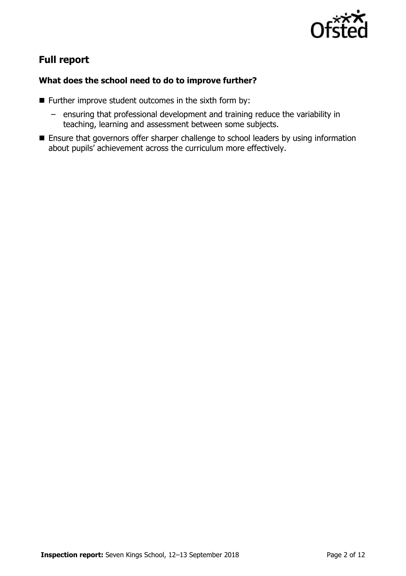

# **Full report**

### **What does the school need to do to improve further?**

- $\blacksquare$  Further improve student outcomes in the sixth form by:
	- ensuring that professional development and training reduce the variability in teaching, learning and assessment between some subjects.
- **Ensure that governors offer sharper challenge to school leaders by using information** about pupils' achievement across the curriculum more effectively.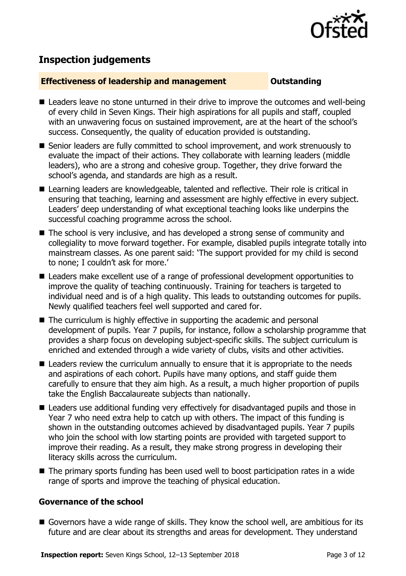

# **Inspection judgements**

#### **Effectiveness of leadership and management Cultum Outstanding**

- Leaders leave no stone unturned in their drive to improve the outcomes and well-being of every child in Seven Kings. Their high aspirations for all pupils and staff, coupled with an unwavering focus on sustained improvement, are at the heart of the school's success. Consequently, the quality of education provided is outstanding.
- Senior leaders are fully committed to school improvement, and work strenuously to evaluate the impact of their actions. They collaborate with learning leaders (middle leaders), who are a strong and cohesive group. Together, they drive forward the school's agenda, and standards are high as a result.
- Learning leaders are knowledgeable, talented and reflective. Their role is critical in ensuring that teaching, learning and assessment are highly effective in every subject. Leaders' deep understanding of what exceptional teaching looks like underpins the successful coaching programme across the school.
- The school is very inclusive, and has developed a strong sense of community and collegiality to move forward together. For example, disabled pupils integrate totally into mainstream classes. As one parent said: 'The support provided for my child is second to none; I couldn't ask for more.'
- Leaders make excellent use of a range of professional development opportunities to improve the quality of teaching continuously. Training for teachers is targeted to individual need and is of a high quality. This leads to outstanding outcomes for pupils. Newly qualified teachers feel well supported and cared for.
- The curriculum is highly effective in supporting the academic and personal development of pupils. Year 7 pupils, for instance, follow a scholarship programme that provides a sharp focus on developing subject-specific skills. The subject curriculum is enriched and extended through a wide variety of clubs, visits and other activities.
- Leaders review the curriculum annually to ensure that it is appropriate to the needs and aspirations of each cohort. Pupils have many options, and staff guide them carefully to ensure that they aim high. As a result, a much higher proportion of pupils take the English Baccalaureate subjects than nationally.
- Leaders use additional funding very effectively for disadvantaged pupils and those in Year 7 who need extra help to catch up with others. The impact of this funding is shown in the outstanding outcomes achieved by disadvantaged pupils. Year 7 pupils who join the school with low starting points are provided with targeted support to improve their reading. As a result, they make strong progress in developing their literacy skills across the curriculum.
- The primary sports funding has been used well to boost participation rates in a wide range of sports and improve the teaching of physical education.

### **Governance of the school**

Governors have a wide range of skills. They know the school well, are ambitious for its future and are clear about its strengths and areas for development. They understand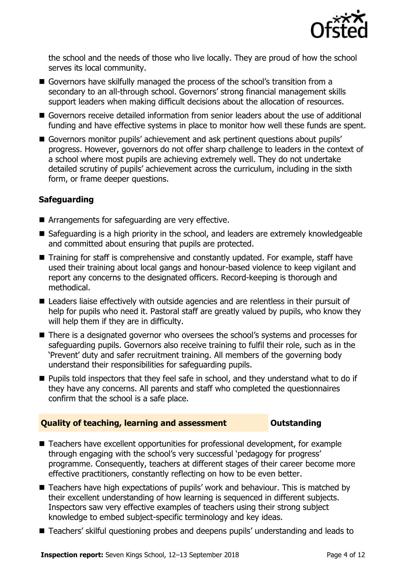

the school and the needs of those who live locally. They are proud of how the school serves its local community.

- Governors have skilfully managed the process of the school's transition from a secondary to an all-through school. Governors' strong financial management skills support leaders when making difficult decisions about the allocation of resources.
- Governors receive detailed information from senior leaders about the use of additional funding and have effective systems in place to monitor how well these funds are spent.
- Governors monitor pupils' achievement and ask pertinent questions about pupils' progress. However, governors do not offer sharp challenge to leaders in the context of a school where most pupils are achieving extremely well. They do not undertake detailed scrutiny of pupils' achievement across the curriculum, including in the sixth form, or frame deeper questions.

### **Safeguarding**

- Arrangements for safeguarding are very effective.
- Safeguarding is a high priority in the school, and leaders are extremely knowledgeable and committed about ensuring that pupils are protected.
- Training for staff is comprehensive and constantly updated. For example, staff have used their training about local gangs and honour-based violence to keep vigilant and report any concerns to the designated officers. Record-keeping is thorough and methodical.
- Leaders liaise effectively with outside agencies and are relentless in their pursuit of help for pupils who need it. Pastoral staff are greatly valued by pupils, who know they will help them if they are in difficulty.
- There is a designated governor who oversees the school's systems and processes for safeguarding pupils. Governors also receive training to fulfil their role, such as in the 'Prevent' duty and safer recruitment training. All members of the governing body understand their responsibilities for safeguarding pupils.
- **Pupils told inspectors that they feel safe in school, and they understand what to do if** they have any concerns. All parents and staff who completed the questionnaires confirm that the school is a safe place.

### **Quality of teaching, learning and assessment Outstanding**

- Teachers have excellent opportunities for professional development, for example through engaging with the school's very successful 'pedagogy for progress' programme. Consequently, teachers at different stages of their career become more effective practitioners, constantly reflecting on how to be even better.
- Teachers have high expectations of pupils' work and behaviour. This is matched by their excellent understanding of how learning is sequenced in different subjects. Inspectors saw very effective examples of teachers using their strong subject knowledge to embed subject-specific terminology and key ideas.
- Teachers' skilful questioning probes and deepens pupils' understanding and leads to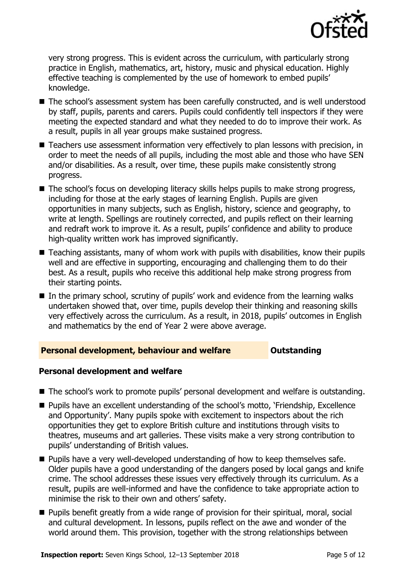

very strong progress. This is evident across the curriculum, with particularly strong practice in English, mathematics, art, history, music and physical education. Highly effective teaching is complemented by the use of homework to embed pupils' knowledge.

- The school's assessment system has been carefully constructed, and is well understood by staff, pupils, parents and carers. Pupils could confidently tell inspectors if they were meeting the expected standard and what they needed to do to improve their work. As a result, pupils in all year groups make sustained progress.
- Teachers use assessment information very effectively to plan lessons with precision, in order to meet the needs of all pupils, including the most able and those who have SEN and/or disabilities. As a result, over time, these pupils make consistently strong progress.
- The school's focus on developing literacy skills helps pupils to make strong progress, including for those at the early stages of learning English. Pupils are given opportunities in many subjects, such as English, history, science and geography, to write at length. Spellings are routinely corrected, and pupils reflect on their learning and redraft work to improve it. As a result, pupils' confidence and ability to produce high-quality written work has improved significantly.
- Teaching assistants, many of whom work with pupils with disabilities, know their pupils well and are effective in supporting, encouraging and challenging them to do their best. As a result, pupils who receive this additional help make strong progress from their starting points.
- In the primary school, scrutiny of pupils' work and evidence from the learning walks undertaken showed that, over time, pupils develop their thinking and reasoning skills very effectively across the curriculum. As a result, in 2018, pupils' outcomes in English and mathematics by the end of Year 2 were above average.

### **Personal development, behaviour and welfare <b>COULTS** Outstanding

#### **Personal development and welfare**

- The school's work to promote pupils' personal development and welfare is outstanding.
- Pupils have an excellent understanding of the school's motto, 'Friendship, Excellence and Opportunity'. Many pupils spoke with excitement to inspectors about the rich opportunities they get to explore British culture and institutions through visits to theatres, museums and art galleries. These visits make a very strong contribution to pupils' understanding of British values.
- **Pupils have a very well-developed understanding of how to keep themselves safe.** Older pupils have a good understanding of the dangers posed by local gangs and knife crime. The school addresses these issues very effectively through its curriculum. As a result, pupils are well-informed and have the confidence to take appropriate action to minimise the risk to their own and others' safety.
- Pupils benefit greatly from a wide range of provision for their spiritual, moral, social and cultural development. In lessons, pupils reflect on the awe and wonder of the world around them. This provision, together with the strong relationships between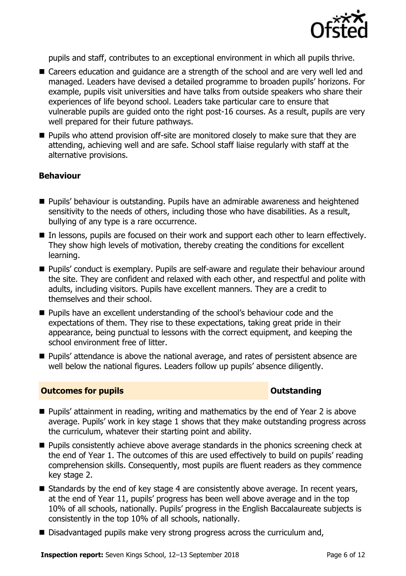

pupils and staff, contributes to an exceptional environment in which all pupils thrive.

- Careers education and guidance are a strength of the school and are very well led and managed. Leaders have devised a detailed programme to broaden pupils' horizons. For example, pupils visit universities and have talks from outside speakers who share their experiences of life beyond school. Leaders take particular care to ensure that vulnerable pupils are guided onto the right post-16 courses. As a result, pupils are very well prepared for their future pathways.
- **Pupils who attend provision off-site are monitored closely to make sure that they are** attending, achieving well and are safe. School staff liaise regularly with staff at the alternative provisions.

#### **Behaviour**

- Pupils' behaviour is outstanding. Pupils have an admirable awareness and heightened sensitivity to the needs of others, including those who have disabilities. As a result, bullying of any type is a rare occurrence.
- In lessons, pupils are focused on their work and support each other to learn effectively. They show high levels of motivation, thereby creating the conditions for excellent learning.
- **Pupils'** conduct is exemplary. Pupils are self-aware and regulate their behaviour around the site. They are confident and relaxed with each other, and respectful and polite with adults, including visitors. Pupils have excellent manners. They are a credit to themselves and their school.
- **Pupils have an excellent understanding of the school's behaviour code and the** expectations of them. They rise to these expectations, taking great pride in their appearance, being punctual to lessons with the correct equipment, and keeping the school environment free of litter.
- **Pupils'** attendance is above the national average, and rates of persistent absence are well below the national figures. Leaders follow up pupils' absence diligently.

#### **Outcomes for pupils Outstanding**

- **Pupils' attainment in reading, writing and mathematics by the end of Year 2 is above** average. Pupils' work in key stage 1 shows that they make outstanding progress across the curriculum, whatever their starting point and ability.
- **Pupils consistently achieve above average standards in the phonics screening check at** the end of Year 1. The outcomes of this are used effectively to build on pupils' reading comprehension skills. Consequently, most pupils are fluent readers as they commence key stage 2.
- Standards by the end of key stage 4 are consistently above average. In recent years, at the end of Year 11, pupils' progress has been well above average and in the top 10% of all schools, nationally. Pupils' progress in the English Baccalaureate subjects is consistently in the top 10% of all schools, nationally.
- Disadvantaged pupils make very strong progress across the curriculum and,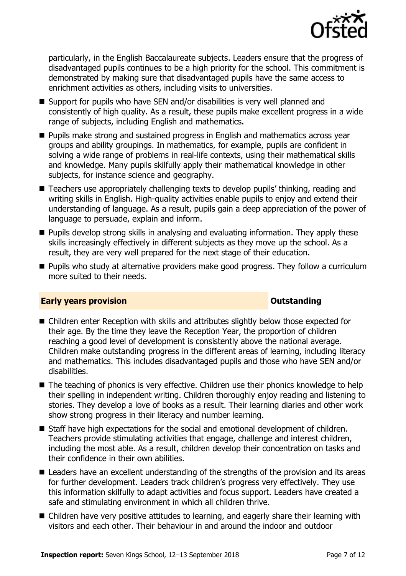

particularly, in the English Baccalaureate subjects. Leaders ensure that the progress of disadvantaged pupils continues to be a high priority for the school. This commitment is demonstrated by making sure that disadvantaged pupils have the same access to enrichment activities as others, including visits to universities.

- Support for pupils who have SEN and/or disabilities is very well planned and consistently of high quality. As a result, these pupils make excellent progress in a wide range of subjects, including English and mathematics.
- **Pupils make strong and sustained progress in English and mathematics across year** groups and ability groupings. In mathematics, for example, pupils are confident in solving a wide range of problems in real-life contexts, using their mathematical skills and knowledge. Many pupils skilfully apply their mathematical knowledge in other subjects, for instance science and geography.
- Teachers use appropriately challenging texts to develop pupils' thinking, reading and writing skills in English. High-quality activities enable pupils to enjoy and extend their understanding of language. As a result, pupils gain a deep appreciation of the power of language to persuade, explain and inform.
- **Pupils develop strong skills in analysing and evaluating information. They apply these** skills increasingly effectively in different subjects as they move up the school. As a result, they are very well prepared for the next stage of their education.
- **Pupils who study at alternative providers make good progress. They follow a curriculum** more suited to their needs.

### **Early years provision CONSTANDING TO A RESEARCH CONSTANDING TO A RESEARCH CONSTANDING TO A RESEARCH CONSTANDING TO A RESEARCH CONSTANDING TO A RESEARCH CONSTANDING TO A RESEARCH CONSTANDING TO A RESEARCH CONSTANDING TO**

- Children enter Reception with skills and attributes slightly below those expected for their age. By the time they leave the Reception Year, the proportion of children reaching a good level of development is consistently above the national average. Children make outstanding progress in the different areas of learning, including literacy and mathematics. This includes disadvantaged pupils and those who have SEN and/or disabilities.
- The teaching of phonics is very effective. Children use their phonics knowledge to help their spelling in independent writing. Children thoroughly enjoy reading and listening to stories. They develop a love of books as a result. Their learning diaries and other work show strong progress in their literacy and number learning.
- Staff have high expectations for the social and emotional development of children. Teachers provide stimulating activities that engage, challenge and interest children, including the most able. As a result, children develop their concentration on tasks and their confidence in their own abilities.
- Leaders have an excellent understanding of the strengths of the provision and its areas for further development. Leaders track children's progress very effectively. They use this information skilfully to adapt activities and focus support. Leaders have created a safe and stimulating environment in which all children thrive.
- Children have very positive attitudes to learning, and eagerly share their learning with visitors and each other. Their behaviour in and around the indoor and outdoor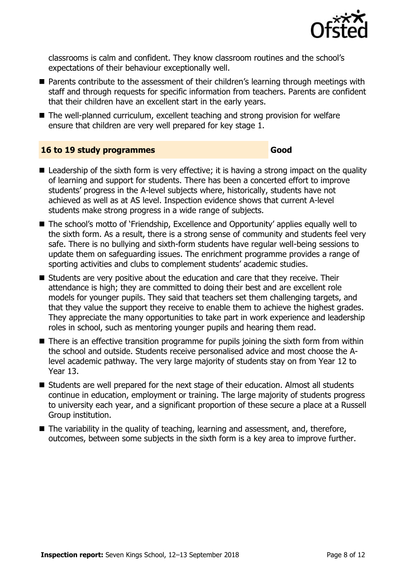

classrooms is calm and confident. They know classroom routines and the school's expectations of their behaviour exceptionally well.

- Parents contribute to the assessment of their children's learning through meetings with staff and through requests for specific information from teachers. Parents are confident that their children have an excellent start in the early years.
- The well-planned curriculum, excellent teaching and strong provision for welfare ensure that children are very well prepared for key stage 1.

#### **16 to 19 study programmes Good**

- $\blacksquare$  Leadership of the sixth form is very effective; it is having a strong impact on the quality of learning and support for students. There has been a concerted effort to improve students' progress in the A-level subjects where, historically, students have not achieved as well as at AS level. Inspection evidence shows that current A-level students make strong progress in a wide range of subjects.
- The school's motto of `Friendship, Excellence and Opportunity' applies equally well to the sixth form. As a result, there is a strong sense of community and students feel very safe. There is no bullying and sixth-form students have regular well-being sessions to update them on safeguarding issues. The enrichment programme provides a range of sporting activities and clubs to complement students' academic studies.
- Students are very positive about the education and care that they receive. Their attendance is high; they are committed to doing their best and are excellent role models for younger pupils. They said that teachers set them challenging targets, and that they value the support they receive to enable them to achieve the highest grades. They appreciate the many opportunities to take part in work experience and leadership roles in school, such as mentoring younger pupils and hearing them read.
- There is an effective transition programme for pupils joining the sixth form from within the school and outside. Students receive personalised advice and most choose the Alevel academic pathway. The very large majority of students stay on from Year 12 to Year 13.
- Students are well prepared for the next stage of their education. Almost all students continue in education, employment or training. The large majority of students progress to university each year, and a significant proportion of these secure a place at a Russell Group institution.
- The variability in the quality of teaching, learning and assessment, and, therefore, outcomes, between some subjects in the sixth form is a key area to improve further.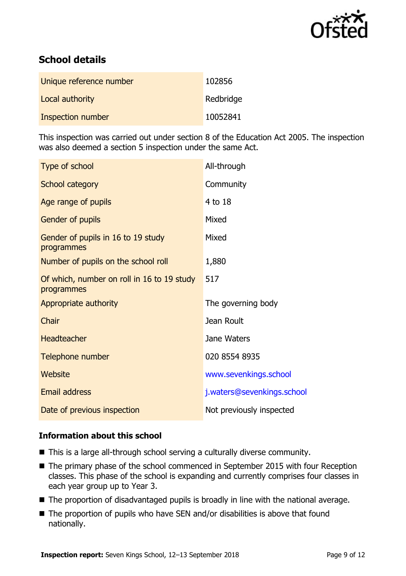

# **School details**

| Unique reference number | 102856    |
|-------------------------|-----------|
| Local authority         | Redbridge |
| Inspection number       | 10052841  |

This inspection was carried out under section 8 of the Education Act 2005. The inspection was also deemed a section 5 inspection under the same Act.

| Type of school                                           | All-through                |
|----------------------------------------------------------|----------------------------|
| School category                                          | Community                  |
| Age range of pupils                                      | 4 to 18                    |
| Gender of pupils                                         | Mixed                      |
| Gender of pupils in 16 to 19 study<br>programmes         | Mixed                      |
| Number of pupils on the school roll                      | 1,880                      |
| Of which, number on roll in 16 to 19 study<br>programmes | 517                        |
| Appropriate authority                                    | The governing body         |
| Chair                                                    | Jean Roult                 |
| <b>Headteacher</b>                                       | Jane Waters                |
| Telephone number                                         | 020 8554 8935              |
| Website                                                  | www.sevenkings.school      |
| Email address                                            | j.waters@sevenkings.school |
| Date of previous inspection                              | Not previously inspected   |

### **Information about this school**

- This is a large all-through school serving a culturally diverse community.
- The primary phase of the school commenced in September 2015 with four Reception classes. This phase of the school is expanding and currently comprises four classes in each year group up to Year 3.
- The proportion of disadvantaged pupils is broadly in line with the national average.
- The proportion of pupils who have SEN and/or disabilities is above that found nationally.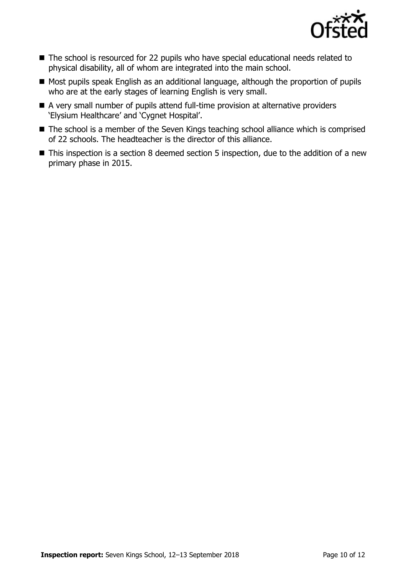

- The school is resourced for 22 pupils who have special educational needs related to physical disability, all of whom are integrated into the main school.
- Most pupils speak English as an additional language, although the proportion of pupils who are at the early stages of learning English is very small.
- A very small number of pupils attend full-time provision at alternative providers 'Elysium Healthcare' and 'Cygnet Hospital'.
- The school is a member of the Seven Kings teaching school alliance which is comprised of 22 schools. The headteacher is the director of this alliance.
- This inspection is a section 8 deemed section 5 inspection, due to the addition of a new primary phase in 2015.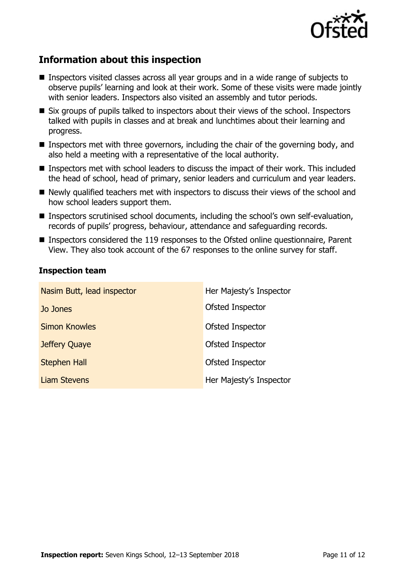

# **Information about this inspection**

- **Inspectors visited classes across all year groups and in a wide range of subjects to** observe pupils' learning and look at their work. Some of these visits were made jointly with senior leaders. Inspectors also visited an assembly and tutor periods.
- Six groups of pupils talked to inspectors about their views of the school. Inspectors talked with pupils in classes and at break and lunchtimes about their learning and progress.
- Inspectors met with three governors, including the chair of the governing body, and also held a meeting with a representative of the local authority.
- Inspectors met with school leaders to discuss the impact of their work. This included the head of school, head of primary, senior leaders and curriculum and year leaders.
- $\blacksquare$  Newly qualified teachers met with inspectors to discuss their views of the school and how school leaders support them.
- Inspectors scrutinised school documents, including the school's own self-evaluation, records of pupils' progress, behaviour, attendance and safeguarding records.
- Inspectors considered the 119 responses to the Ofsted online questionnaire, Parent View. They also took account of the 67 responses to the online survey for staff.

#### **Inspection team**

| Nasim Butt, lead inspector | Her Majesty's Inspector |
|----------------------------|-------------------------|
| Jo Jones                   | Ofsted Inspector        |
| <b>Simon Knowles</b>       | Ofsted Inspector        |
| Jeffery Quaye              | Ofsted Inspector        |
| <b>Stephen Hall</b>        | Ofsted Inspector        |
| <b>Liam Stevens</b>        | Her Majesty's Inspector |